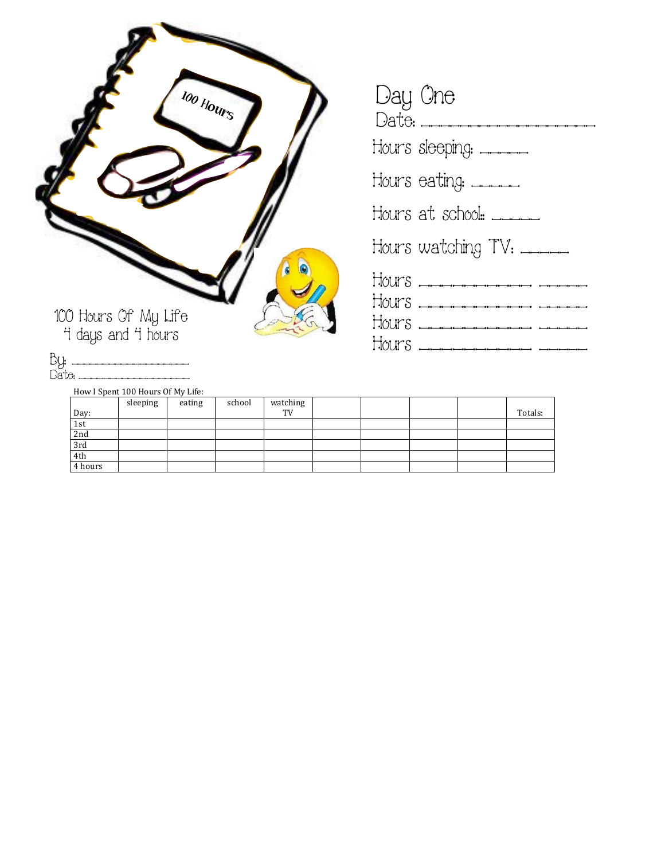|                                            | 100 Hours |
|--------------------------------------------|-----------|
| 100 Hours Of My Life<br>4 days and 4 hours |           |

| Day One<br>Date: ________________ |
|-----------------------------------|
| Hours sleeping: ______            |
| Hours eating: ______              |
| Hours at school: _____            |
| Hours watching TV: ____           |
| HOUMS <del>.</del>                |
| HOURS <del>.</del>                |

By: \_\_\_\_\_\_\_\_\_\_\_\_\_\_\_\_\_\_\_\_\_\_\_\_ Date: \_\_\_\_\_\_\_\_\_\_\_\_\_\_\_\_\_\_\_\_\_\_\_

How I Spent 100 Hours Of My Life:

|         | sleeping | eating | school | watching        |  |  |         |
|---------|----------|--------|--------|-----------------|--|--|---------|
| Day:    |          |        |        | TV <sub>1</sub> |  |  | Totals: |
| 1st     |          |        |        |                 |  |  |         |
| 2nd     |          |        |        |                 |  |  |         |
| 3rd     |          |        |        |                 |  |  |         |
| 4th     |          |        |        |                 |  |  |         |
| 4 hours |          |        |        |                 |  |  |         |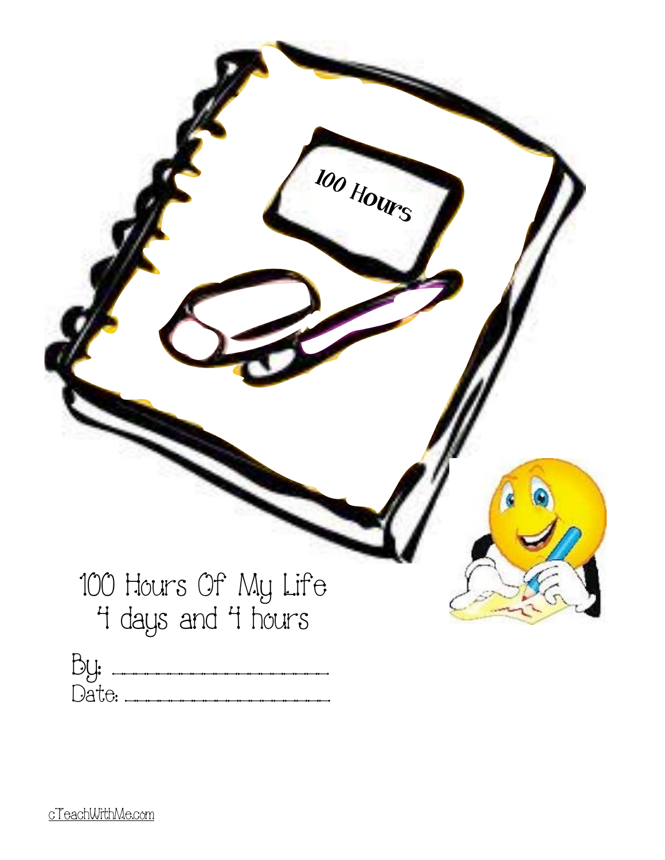|                                            | 100 Hours |
|--------------------------------------------|-----------|
| 100 Hours Of My Life<br>4 days and 4 hours |           |
| By:                                        |           |

Date: \_\_\_\_\_\_\_\_\_\_\_\_\_\_\_\_\_\_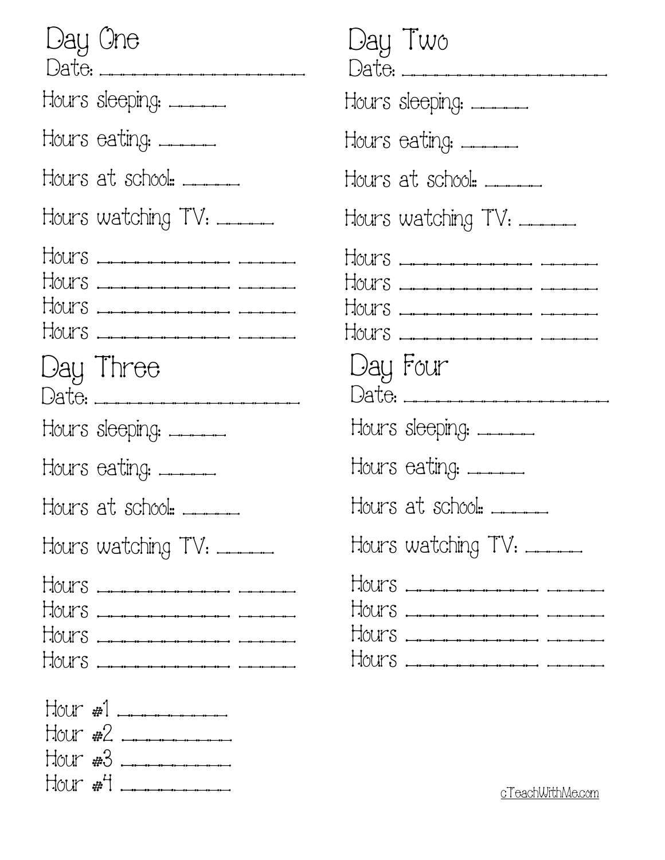| Day One<br>Date: __________________      |
|------------------------------------------|
| Hours sleeping: ______                   |
| Hours eating: _____                      |
| Hours at school: _____                   |
| Hours watching TV: _____                 |
| HOUPS <del>.</del>                       |
| Day Three                                |
| Hours sleeping: _____                    |
| Hours eating: _____                      |
| Hours at school: ______                  |
| Hours watching TV: _____                 |
| HOUPS <del>.</del><br>HOUPS <del>.</del> |
| $H_{\text{OUT}}$ #2 $\frac{1}{2}$        |

| Day Two<br>Date:                         |
|------------------------------------------|
| Hours sleeping: _____                    |
| Hours eating: ______                     |
| Hours at school: _____                   |
| Hours watching TV: _____                 |
| HOULS <del>.</del><br>HOULS <del>.</del> |
| Day Four<br>Date: ____________________   |
| Hours sleeping: ______                   |
| Hours eating: _____                      |
| Hours at school: _____                   |
| Hours watching TV: _____                 |
|                                          |

Hour #4 \_\_\_\_\_\_\_\_\_ [cTeachWithMe.com](http://cTeachWithMe.com)